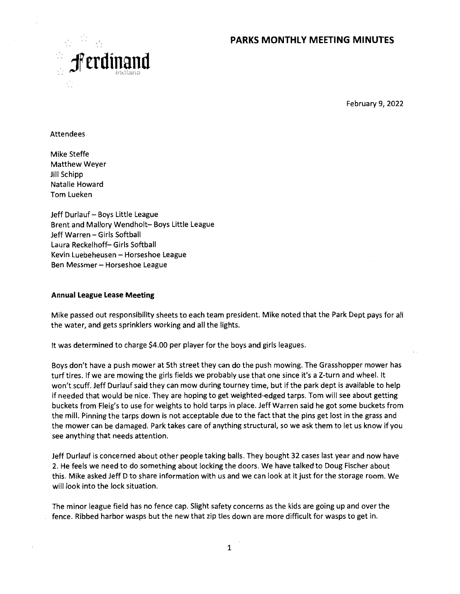## **PARKS MONTHLY MEETING MINUTES**



February 9, 2022

Attendees

Mike Steffe Matthew Weyer Jill Schipp Natalie Howard Tom Lueken

Jeff Durlauf — Boys Little League Brent and Mallory Wendholt— Boys Little League Jeff Warren — Girls Softball Laura Reckelhoff— Girls Softball Kevin Luebeheusen — Horseshoe League Ben Messmer — Horseshoe League

#### **Annual League Lease Meeting**

Mike passed out responsibility sheets to each team president. Mike noted that the Park Dept pays for all the water, and gets sprinklers working and all the lights.

It was determined to charge \$4.00 per player for the boys and girls leagues.

Boys don't have a push mower at 5th street they can do the push mowing. The Grasshopper mower has turf tires. If we are mowing the girls fields we probably use that one since it's a Z-turn and wheel. It won't scuff. Jeff Durlauf said they can mow during tourney time, but if the park dept is available to help if needed that would be nice. They are hoping to get weighted-edged tarps. Tom will see about getting buckets from Fleig's to use for weights to hold tarps in place. Jeff Warren said he got some buckets from the mill. Pinning the tarps down is not acceptable due to the fact that the pins get lost in the grass and the mower can be damaged. Park takes care of anything structural, so we ask them to let us know if you see anything that needs attention.

Jeff Durlauf is concerned about other people taking balls. They bought 32 cases last year and now have 2. He feels we need to do something about locking the doors. We have talked to Doug Fischer about this. Mike asked Jeff D to share information with us and we can look at it just for the storage room. We will look into the lock situation.

The minor league field has no fence cap. Slight safety concerns as the kids are going up and over the fence. Ribbed harbor wasps but the new that zip ties down are more difficult for wasps to get in.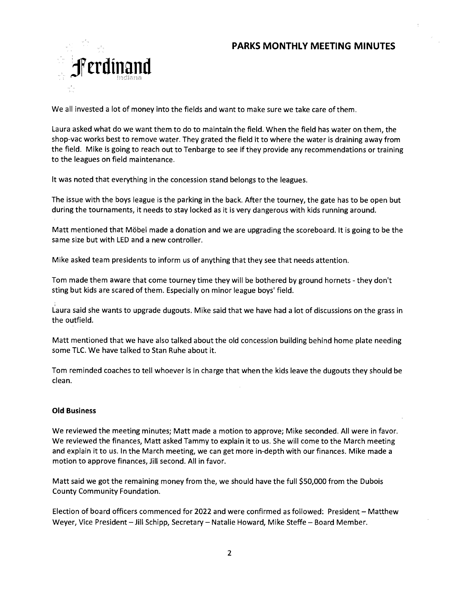

We all invested a lot of money into the fields and want to make sure we take care of them.

Laura asked what do we want them to do to maintain the field. When the field has water on them, the shop-vac works best to remove water. They grated the field it to where the water is draining away from the field. Mike is going to reach out to Tenbarge to see if they provide any recommendations or training to the leagues on field maintenance.

lt was noted that everything in the concession stand belongs to the leagues.

The issue with the boys league is the parking in the back. After the tourney, the gate has to be open but during the tournaments, it needs to stay locked as it is very dangerous with kids running around.

Matt mentioned that Möbel made a donation and we are upgrading the scoreboard. It is going to be the same size but with LED and a new controller.

Mike asked team presidents to inform us of anything that they see that needs attention.

Tom made them aware that come tourney time they will be bothered by ground hornets - they don't sting but kids are scared of them. Especially on minor league boys' field.

Laura said she wants to upgrade dugouts. Mike said that we have had a lot of discussions on the grass in the outfield.

Matt mentioned that we have also talked about the old concession building behind home plate needing some TLC. We have talked to Stan Ruhe about it.

Tom reminded coaches to tell whoever is in charge that when the kids leave the dugouts they should be clean.

### **Old Business**

We reviewed the meeting minutes; Matt made a motion to approve; Mike seconded. All were in favor. We reviewed the finances, Matt asked Tammy to explain it to us. She will come to the March meeting and explain it to us. ln the March meeting, we can get more in-depth with our finances. Mike made a motion to approve finances, Jill second. All in favor.

Matt said we got the remaining money from the, we should have the full \$50,000 from the Dubois County Community Foundation.

Election of board officers commenced for 2022 and were confirmed as followed: President — Matthew Weyer, Vice President —Jill Schipp, Secretary — Natalie Howard, Mike Steffe — Board Member.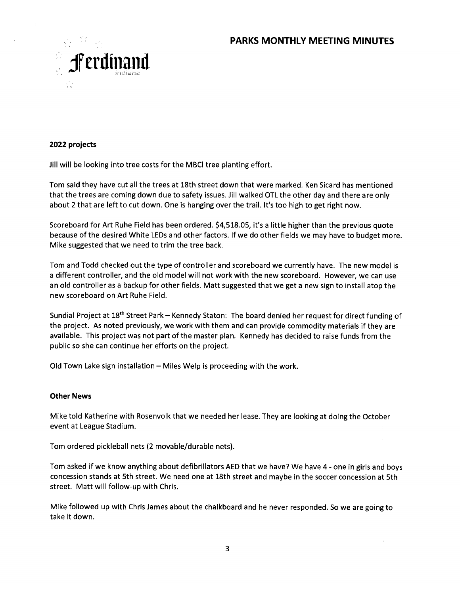# **PARKS MONTHLY MEETING MINUTES**



#### **2022 projects**

Jill will be looking into tree costs for the MBCI tree planting effort.

Tom said they have cut all the trees at 18th street down that were marked. Ken Sicard has mentioned that the trees are coming down due to safety issues. Jill walked OTL the other day and there are only about 2 that are left to cut down. One is hanging over the trail. It's too high to get right now.

Scoreboard for Art Ruhe Field has been ordered. \$4,518.05, it's a little higher than the previous quote because of the desired White LEDs and other factors. lf we do other fields we may have to budget more. Mike suggested that we need to trim the tree back.

Tom and Todd checked out the type of controller and scoreboard we currently have. The new model is a different controller, and the old model will not work with the new scoreboard. However, we can use an old controller as a backup for other fields. Matt suggested that we get a new sign to install atop the new scoreboard on Art Ruhe Field.

Sundial Project at 18<sup>th</sup> Street Park - Kennedy Staton: The board denied her request for direct funding of the project. As noted previously, we work with them and can provide commodity materials if they are available. This project was not part of the master plan. Kennedy has decided to raise funds from the public so she can continue her efforts on the project.

Old Town Lake sign installation — Miles Welp is proceeding with the work.

#### **Other News**

Mike told Katherine with Rosenvolk that we needed her lease. They are looking at doing the October event at League Stadium.

Tom ordered pickleball nets (2 movable/durable nets).

Tom asked if we know anything about defibrillators AED that we have? We have 4 - one in girls and boys concession stands at 5th street. We need one at 18th street and maybe in the soccer concession at 5th street. Matt will follow-up with Chris.

Mike followed up with Chris James about the chalkboard and he never responded. So we are going to take it down.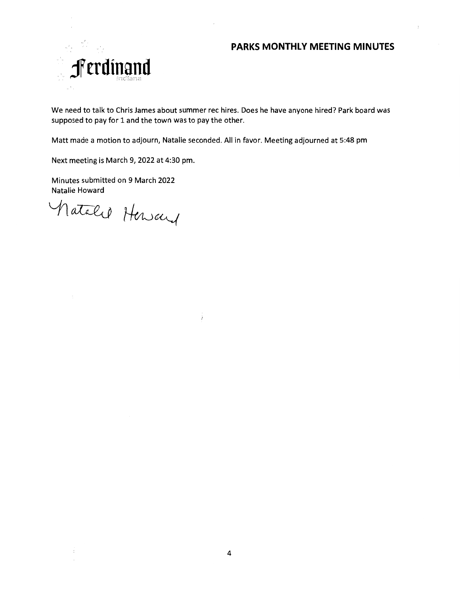## **PARKS MONTHLY MEETING MINUTES**



We need to talk to Chris James about summer rec hires. Does he have anyone hired? Park board was supposed to pay for 1 and the town was to pay the other.

Matt made a motion to adjourn, Natalie seconded. All in favor. Meeting adjourned at 5:48 pm

į.

Next meeting is March 9, 2022 at 4:30 pm.

Minutes submitted on 9 March 2022 Natalie Howard

Matalel Heway